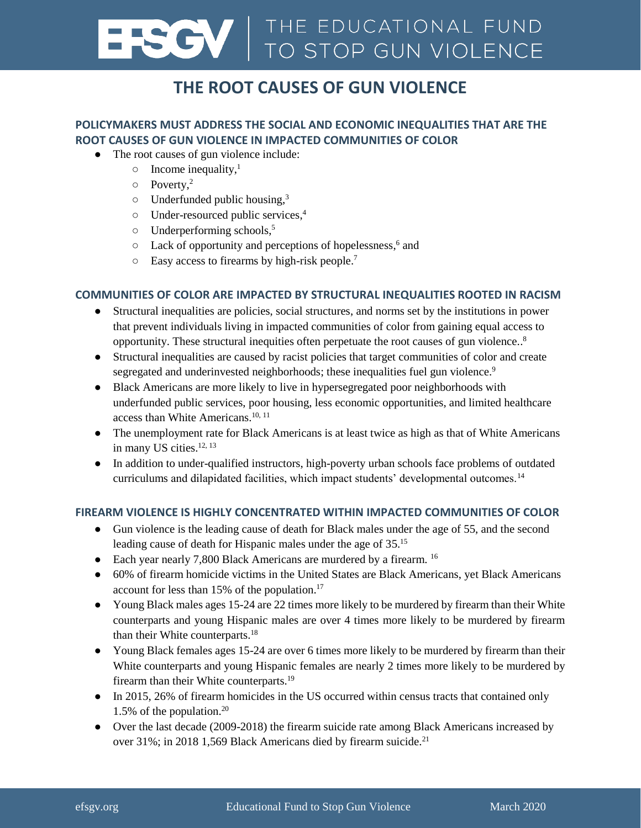# **ENCY | THE EDUCATIONAL FUND**<br>TO STOP GUN VIOLENCE

# **THE ROOT CAUSES OF GUN VIOLENCE**

### **POLICYMAKERS MUST ADDRESS THE SOCIAL AND ECONOMIC INEQUALITIES THAT ARE THE ROOT CAUSES OF GUN VIOLENCE IN IMPACTED COMMUNITIES OF COLOR**

- The root causes of gun violence include:
	- $\circ$  Income inequality,<sup>1</sup>
	- $\circ$  Poverty,<sup>2</sup>
	- $\circ$  Underfunded public housing,<sup>3</sup>
	- Under-resourced public services, 4
	- Underperforming schools, 5
	- o Lack of opportunity and perceptions of hopelessness,<sup>6</sup> and
	- $\circ$  Easy access to firearms by high-risk people.<sup>7</sup>

#### **COMMUNITIES OF COLOR ARE IMPACTED BY STRUCTURAL INEQUALITIES ROOTED IN RACISM**

- Structural inequalities are policies, social structures, and norms set by the institutions in power that prevent individuals living in impacted communities of color from gaining equal access to opportunity. These structural inequities often perpetuate the root causes of gun violence..<sup>8</sup>
- Structural inequalities are caused by racist policies that target communities of color and create segregated and underinvested neighborhoods; these inequalities fuel gun violence.<sup>9</sup>
- Black Americans are more likely to live in hypersegregated poor neighborhoods with underfunded public services, poor housing, less economic opportunities, and limited healthcare access than White Americans.<sup>10, 11</sup>
- The unemployment rate for Black Americans is at least twice as high as that of White Americans in many US cities.<sup>12, 13</sup>
- In addition to under-qualified instructors, high-poverty urban schools face problems of outdated curriculums and dilapidated facilities, which impact students' developmental outcomes.<sup>14</sup>

#### **FIREARM VIOLENCE IS HIGHLY CONCENTRATED WITHIN IMPACTED COMMUNITIES OF COLOR**

- Gun violence is the leading cause of death for Black males under the age of 55, and the second leading cause of death for Hispanic males under the age of 35.<sup>15</sup>
- Each year nearly 7,800 Black Americans are murdered by a firearm. <sup>16</sup>
- 60% of firearm homicide victims in the United States are Black Americans, yet Black Americans account for less than 15% of the population. 17
- Young Black males ages 15-24 are 22 times more likely to be murdered by firearm than their White counterparts and young Hispanic males are over 4 times more likely to be murdered by firearm than their White counterparts.<sup>18</sup>
- Young Black females ages 15-24 are over 6 times more likely to be murdered by firearm than their White counterparts and young Hispanic females are nearly 2 times more likely to be murdered by firearm than their White counterparts.<sup>19</sup>
- In 2015, 26% of firearm homicides in the US occurred within census tracts that contained only 1.5% of the population. $20$
- Over the last decade (2009-2018) the firearm suicide rate among Black Americans increased by over 31%; in 2018 1,569 Black Americans died by firearm suicide.<sup>21</sup>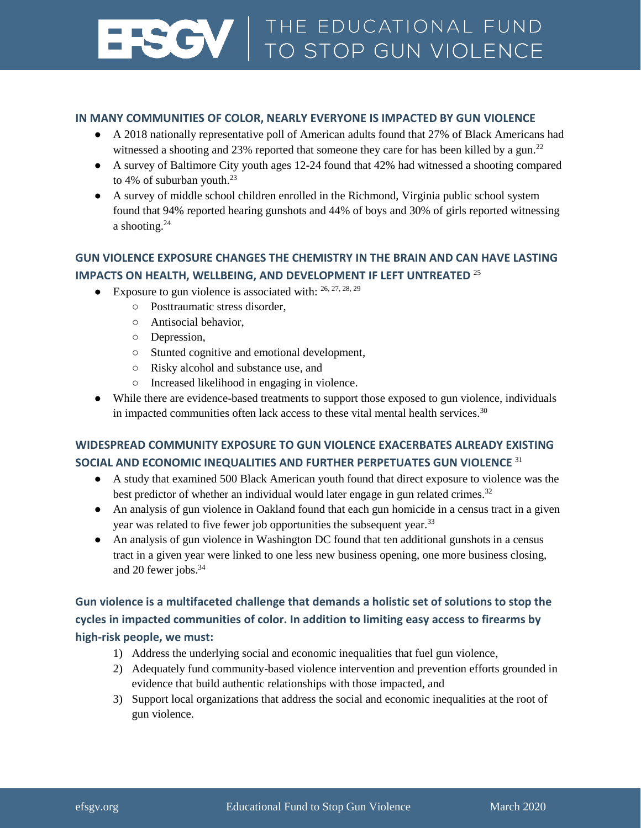# **ENCY | THE EDUCATIONAL FUND**<br>TO STOP GUN VIOLENCE

#### **IN MANY COMMUNITIES OF COLOR, NEARLY EVERYONE IS IMPACTED BY GUN VIOLENCE**

- A 2018 nationally representative poll of American adults found that 27% of Black Americans had witnessed a shooting and  $23\%$  reported that someone they care for has been killed by a gun.<sup>22</sup>
- A survey of Baltimore City youth ages 12-24 found that 42% had witnessed a shooting compared to 4% of suburban youth. $^{23}$
- A survey of middle school children enrolled in the Richmond, Virginia public school system found that 94% reported hearing gunshots and 44% of boys and 30% of girls reported witnessing a shooting.<sup>24</sup>

### **GUN VIOLENCE EXPOSURE CHANGES THE CHEMISTRY IN THE BRAIN AND CAN HAVE LASTING IMPACTS ON HEALTH, WELLBEING, AND DEVELOPMENT IF LEFT UNTREATED** <sup>25</sup>

 $\bullet$  Exposure to gun violence is associated with:  $26, 27, 28, 29$ 

- Posttraumatic stress disorder,
	- Antisocial behavior,
	- Depression,
	- Stunted cognitive and emotional development,
	- Risky alcohol and substance use, and
	- Increased likelihood in engaging in violence.
- While there are evidence-based treatments to support those exposed to gun violence, individuals in impacted communities often lack access to these vital mental health services. $30$

### **WIDESPREAD COMMUNITY EXPOSURE TO GUN VIOLENCE EXACERBATES ALREADY EXISTING SOCIAL AND ECONOMIC INEQUALITIES AND FURTHER PERPETUATES GUN VIOLENCE** <sup>31</sup>

- A study that examined 500 Black American youth found that direct exposure to violence was the best predictor of whether an individual would later engage in gun related crimes.<sup>32</sup>
- An analysis of gun violence in Oakland found that each gun homicide in a census tract in a given year was related to five fewer job opportunities the subsequent year.<sup>33</sup>
- An analysis of gun violence in Washington DC found that ten additional gunshots in a census tract in a given year were linked to one less new business opening, one more business closing, and 20 fewer jobs.<sup>34</sup>

## **Gun violence is a multifaceted challenge that demands a holistic set of solutions to stop the cycles in impacted communities of color. In addition to limiting easy access to firearms by high-risk people, we must:**

- 1) Address the underlying social and economic inequalities that fuel gun violence,
- 2) Adequately fund community-based violence intervention and prevention efforts grounded in evidence that build authentic relationships with those impacted, and
- 3) Support local organizations that address the social and economic inequalities at the root of gun violence.